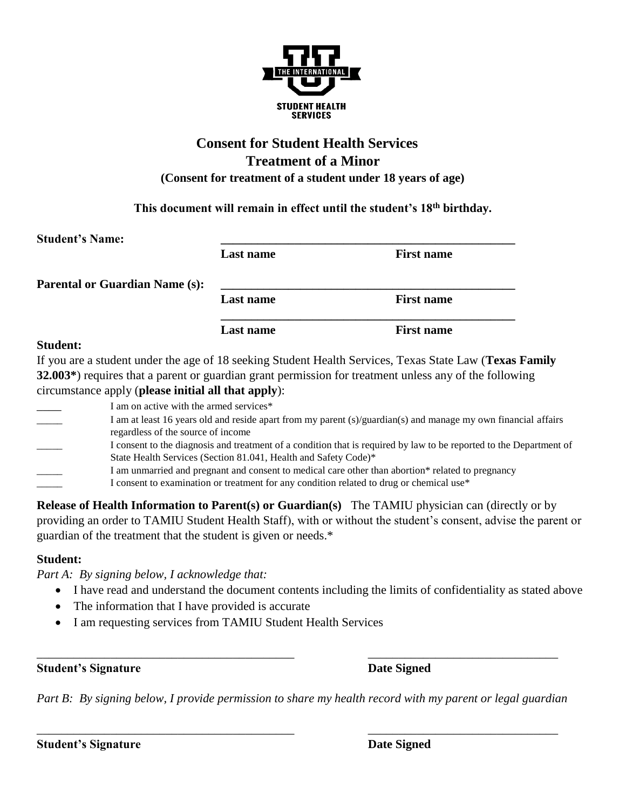

# **Consent for Student Health Services Treatment of a Minor (Consent for treatment of a student under 18 years of age)**

**This document will remain in effect until the student's 18th birthday.**

| <b>Student's Name:</b>                |                  |                   |
|---------------------------------------|------------------|-------------------|
|                                       | <b>Last name</b> | <b>First name</b> |
| <b>Parental or Guardian Name (s):</b> |                  |                   |
|                                       | <b>Last name</b> | <b>First name</b> |
|                                       | <b>Last name</b> | <b>First name</b> |
| $C$ tudont:                           |                  |                   |

### **Student:**

If you are a student under the age of 18 seeking Student Health Services, Texas State Law (**Texas Family 32.003\***) requires that a parent or guardian grant permission for treatment unless any of the following circumstance apply (**please initial all that apply**):

| I am on active with the armed services*                                                                             |
|---------------------------------------------------------------------------------------------------------------------|
| I am at least 16 years old and reside apart from my parent (s)/guardian(s) and manage my own financial affairs      |
| regardless of the source of income                                                                                  |
| I consent to the diagnosis and treatment of a condition that is required by law to be reported to the Department of |
| State Health Services (Section 81.041, Health and Safety Code)*                                                     |
| I am unmarried and pregnant and consent to medical care other than abortion* related to pregnancy                   |
| I consent to examination or treatment for any condition related to drug or chemical use*                            |
|                                                                                                                     |

**Release of Health Information to Parent(s) or Guardian(s)** The TAMIU physician can (directly or by providing an order to TAMIU Student Health Staff), with or without the student's consent, advise the parent or guardian of the treatment that the student is given or needs.\*

### **Student:**

*Part A: By signing below, I acknowledge that:*

- I have read and understand the document contents including the limits of confidentiality as stated above
- The information that I have provided is accurate
- I am requesting services from TAMIU Student Health Services

**Student's Signature Date Signed** 

*Part B: By signing below, I provide permission to share my health record with my parent or legal guardian* 

\_\_\_\_\_\_\_\_\_\_\_\_\_\_\_\_\_\_\_\_\_\_\_\_\_\_\_\_\_\_\_\_\_\_\_\_\_\_\_\_\_\_ \_\_\_\_\_\_\_\_\_\_\_\_\_\_\_\_\_\_\_\_\_\_\_\_\_\_\_\_\_\_\_

\_\_\_\_\_\_\_\_\_\_\_\_\_\_\_\_\_\_\_\_\_\_\_\_\_\_\_\_\_\_\_\_\_\_\_\_\_\_\_\_\_\_ \_\_\_\_\_\_\_\_\_\_\_\_\_\_\_\_\_\_\_\_\_\_\_\_\_\_\_\_\_\_\_

**Student's Signature Date Signed**